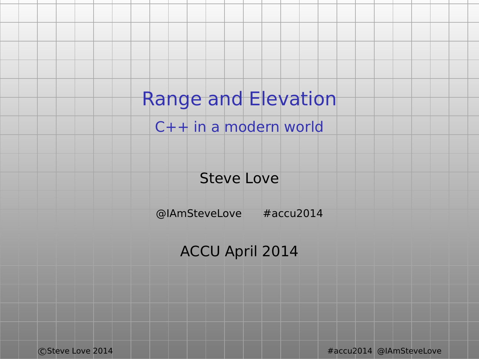Range and Elevation

C++ in a modern world

Steve Love

@IAmSteveLove #accu2014

ACCU April 2014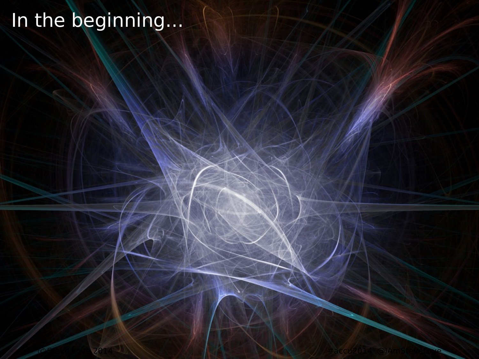# In the beginning...

c Steve 2014 And Amster Control and Amster Control and Amster Control and Amster Control and Amster Control and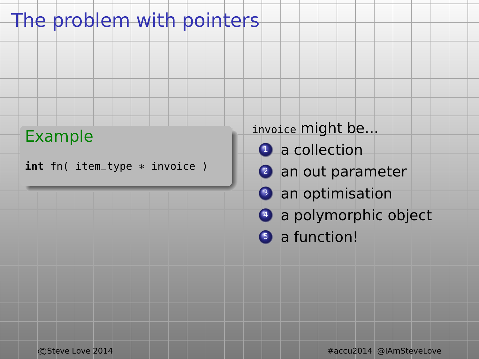## The problem with pointers

#### Example

**int** fn( item\_type \* invoice )

#### invoice might be...

- **Q** a collection
- 2 an out parameter
- <sup>3</sup> an optimisation
- **4** a polymorphic object
- **6** a function!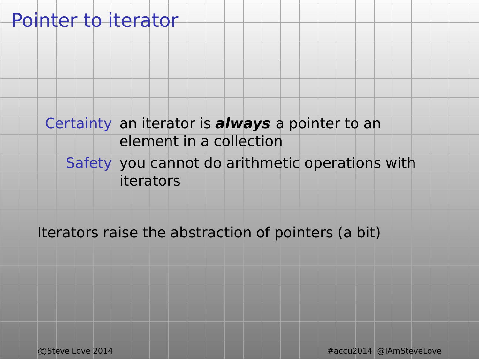## Pointer to iterator

#### Certainty an iterator is **always** a pointer to an element in a collection

#### Safety you cannot do arithmetic operations with iterators

#### Iterators raise the abstraction of pointers (a bit)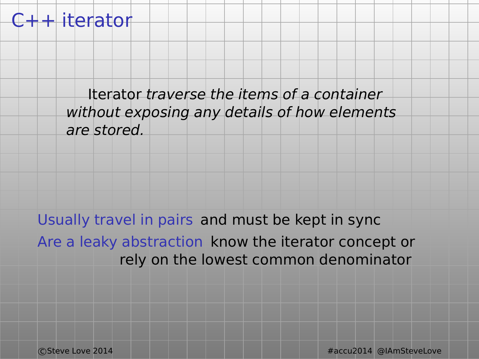#### $C++$  iterator

Iterator traverse the items of a container without exposing any details of how elements are stored.

Usually travel in pairs and must be kept in sync Are a leaky abstraction know the iterator concept or rely on the lowest common denominator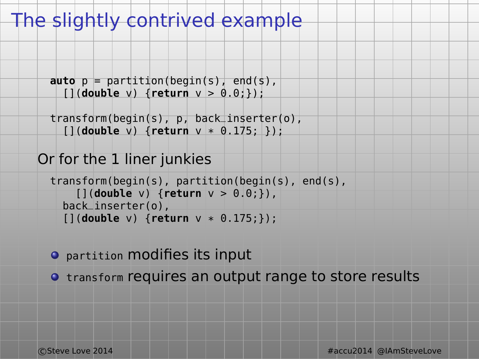## The slightly contrived example

```
\mathbf{auto} \ \mathbf{p} = \mathbf{partition}(\mathbf{beqin}(\mathbf{s}), \ \mathbf{end}(\mathbf{s}),[](double v) {return v > 0.0;});
```

```
transform(begin(s), p, back_inserter(o),
  [](double v) {return v * 0.175; });
```
#### Or for the 1 liner junkies

```
transform(begin(s), partition(begin(s), end(s),
    [](double v) {return v > 0.0;}),
  back_inserter(o),
  [](double v) {return v * 0.175;});
```
#### partition modifies its input

 $\bullet$  transform requires an output range to store results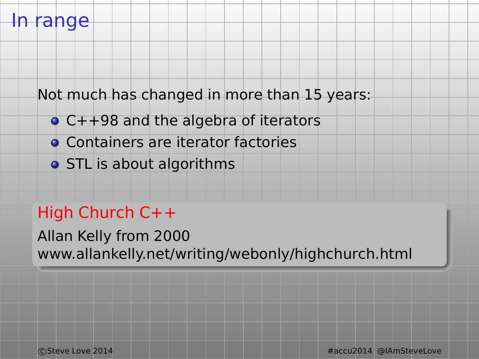### In range

Not much has changed in more than 15 years:

- C++98 and the algebra of iterators
- Containers are iterator factories
- **o** STL is about algorithms

## High Church C++

Allan Kelly from 2000 www.allankelly.net/writing/webonly/highchurch.html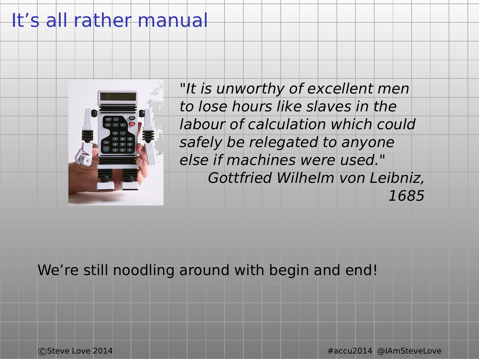## It's all rather manual



"It is unworthy of excellent men to lose hours like slaves in the labour of calculation which could safely be relegated to anyone else if machines were used." Gottfried Wilhelm von Leibniz, 1685

We're still noodling around with begin and end!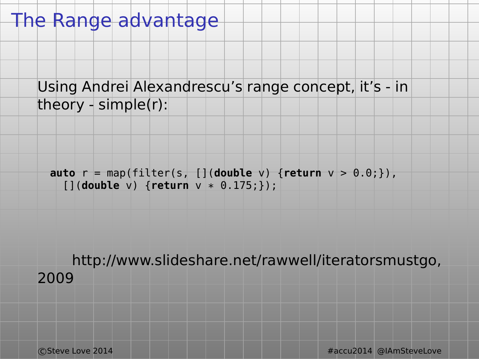## The Range advantage

Using Andrei Alexandrescu's range concept, it's - in theory - simple(r):

**auto** r = map(filter(s, [](**double** v) {**return** v > 0.0;}), [](**double** v) {**return** v \* 0.175;});

http://www.slideshare.net/rawwell/iteratorsmustgo, 2009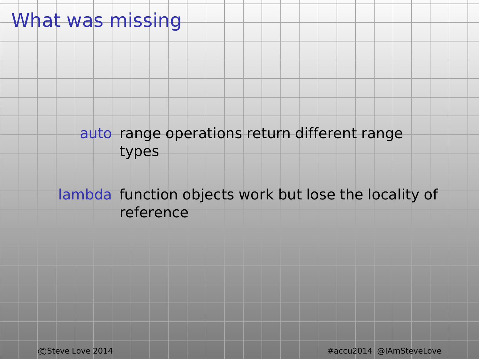## What was missing

#### auto range operations return different range types

#### lambda function objects work but lose the locality of reference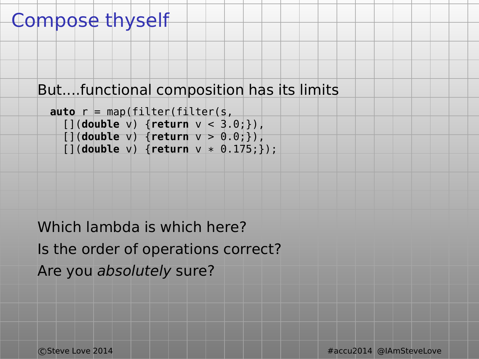## Compose thyself

```
But....functional composition has its limits
```

```
auto r = map(filter(filter(s,
  [](double v) {return v < 3.0;}),
  [](double v) {return v > 0.0;}),
  [](double v) {return v * 0.175;});
```
Which lambda is which here? Is the order of operations correct? Are you absolutely sure?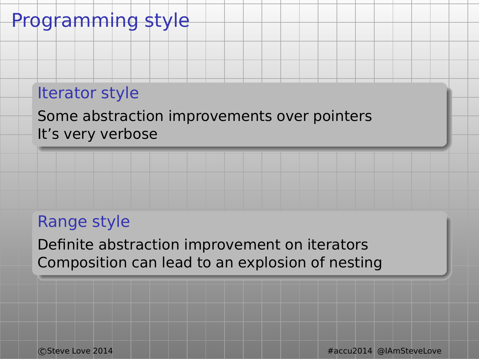### Programming style

#### Iterator style

Some abstraction improvements over pointers It's very verbose

#### Range style

Definite abstraction improvement on iterators Composition can lead to an explosion of nesting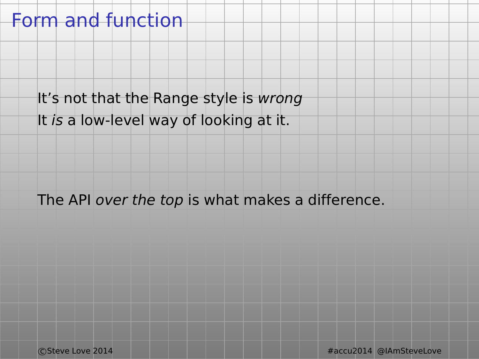## Form and function

It's not that the Range style is wrong

It is a low-level way of looking at it.

The API over the top is what makes a difference.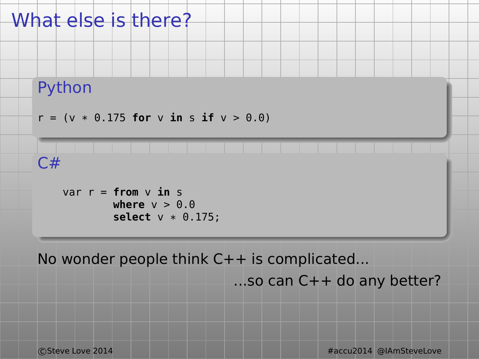

No wonder people think C++ is complicated...

...so can C++ do any better?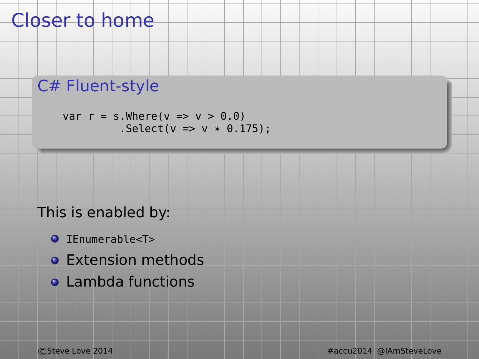## Closer to home

### C# Fluent-style

var  $r = s.Where(v \Rightarrow v > 0.0)$  $Select(v = > v * 0.175);$ 

#### This is enabled by:

- $\bullet$  TFnumerable<T>
- **Extension methods**
- **Q** Lambda functions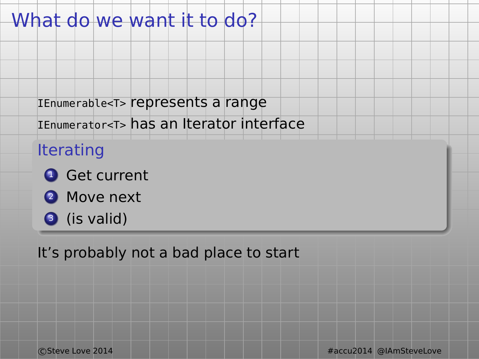## What do we want it to do?

IEnumerable<T> represents a range

IEnumerator<T> has an Iterator interface

#### Iterating

- **1** Get current
- **2** Move next
- **3** (is valid)

It's probably not a bad place to start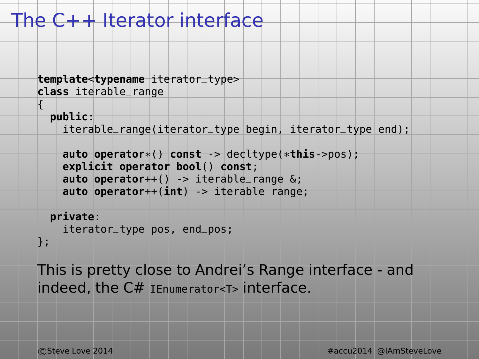## The C++ Iterator interface

```
template<typename iterator_type>
class iterable_range
```

```
public:
```
{

iterable\_range(iterator\_type begin, iterator\_type end);

```
auto operator*() const -> decltype(*this->pos);
explicit operator bool() const;
auto operator++() -> iterable_range &;
auto operator++(int) -> iterable_range;
```
**private**: iterator\_type pos, end\_pos;

};

This is pretty close to Andrei's Range interface - and indeed, the C# IEnumerator<T> interface.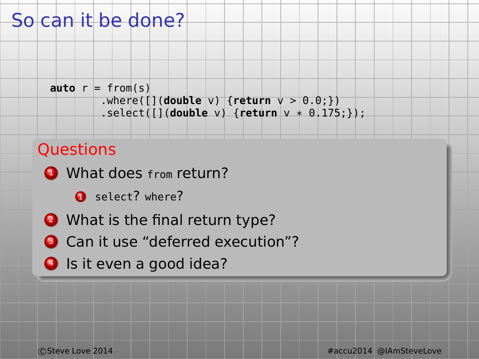## So can it be done?

```
auto r = from(s)
        .where([](double v) {return v > 0.0;})
        .select([](double v) {return v * 0.175;});
```
#### **Questions**

- **4** What does from return?
	- **1** select? where?
- **2** What is the final return type?
- **3** Can it use "deferred execution"?
- **4** Is it even a good idea?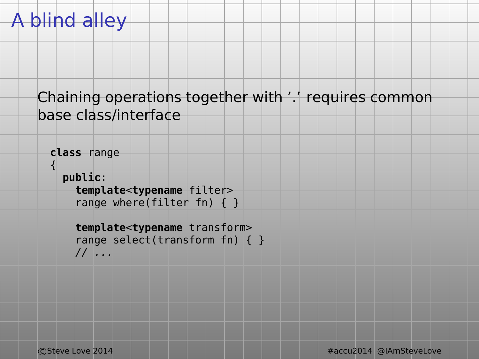## A blind alley

#### Chaining operations together with '.' requires common base class/interface

```
class range
{
 public:
    template<typename filter>
    range where(filter fn) { }
    template<typename transform>
```

```
range select(transform fn) { }
// ...
```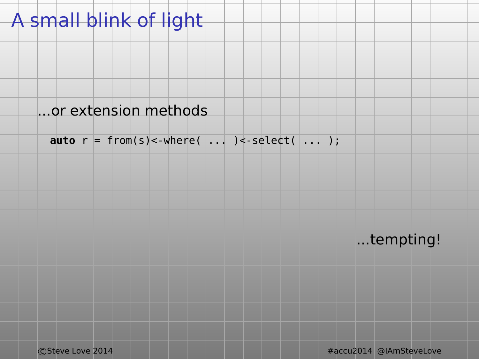## A small blink of light

#### ...or extension methods

 $\text{auto } r = \text{from}(s) < \text{where}( \dots ) < \text{select}( \dots )$ ;

...tempting!

c Steve Love 2014 **Accu2014 Accu2014 #accu2014** @IAmSteveLove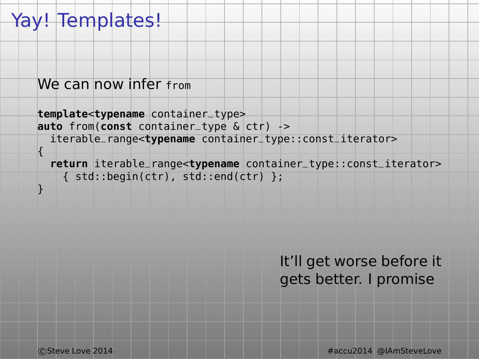## Yay! Templates!

```
We can now infer from
```

```
template<typename container_type>
auto from(const container_type & ctr) ->
  iterable_range<typename container_type::const_iterator>
{
```

```
return iterable_range<typename container_type::const_iterator>
  { std::begin(ctr), std::end(ctr) };
```
It'll get worse before it gets better. I promise

}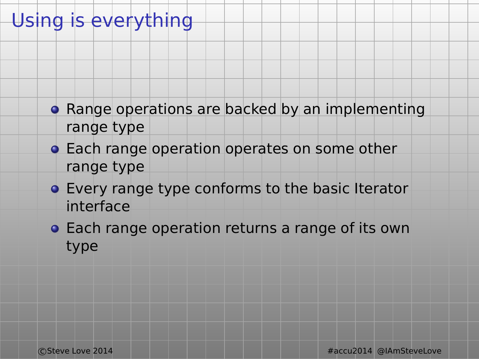## Using is everything

- **Range operations are backed by an implementing** range type
- **Each range operation operates on some other** range type
- Every range type conforms to the basic Iterator interface
- **Each range operation returns a range of its own** type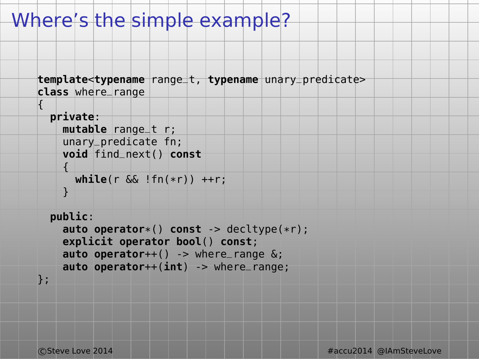## Where's the simple example?

```
template<typename range_t, typename unary_predicate>
class where_range
```

```
private:
 mutable range_t r;
  unary_predicate fn;
 void find_next() const
  {
```

```
while(r && !fn(*r)) ++r;
```
}

```
public:
```

```
auto operator*() const -> decltype(*r);
explicit operator bool() const;
auto operator++() -> where_range &;
auto operator++(int) -> where_range;
```
};

{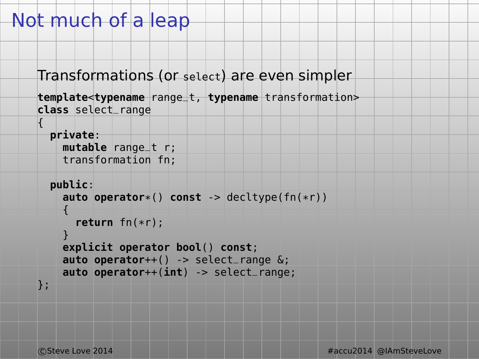## Not much of a leap

```
Transformations (or select) are even simpler
```

```
template<typename range_t, typename transformation>
class select_range
```

```
private:
    mutable range_t r;
    transformation fn;
  public:
    auto operator*() const -> decltype(fn(*r))
    {
      return fn(*r);
    }
    explicit operator bool() const;
    auto operator++() -> select_range &;
    auto operator++(int) -> select_range;
};
```
{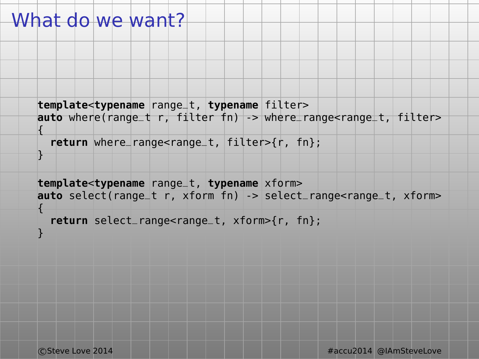## What do we want?

{

}

{

```
template<typename range_t, typename filter>
auto where(range_t r, filter fn) -> where_range<range_t, filter>
```

```
return where_range<range_t, filter>{r, fn};
```

```
template<typename range_t, typename xform>
auto select(range_t r, xform fn) -> select_range<range_t, xform>
```

```
return select_range<range_t, xform>{r, fn};
```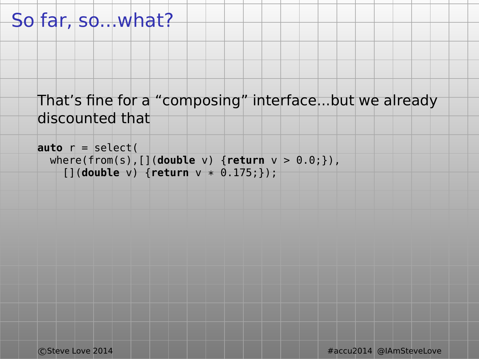## So far, so...what?

#### That's fine for a "composing" interface...but we already discounted that

```
auto r = select(
 where(from(s),[](double v) {return v > 0.0;}),
    [](double v) {return v * 0.175;});
```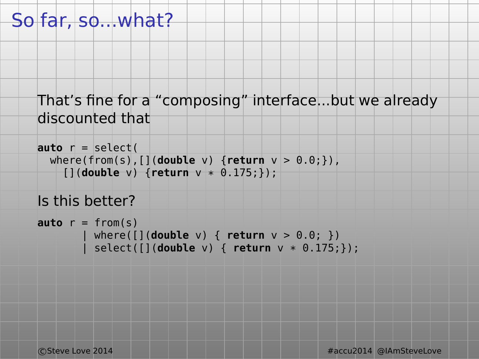## So far, so...what?

#### That's fine for a "composing" interface...but we already discounted that

```
auto r = select(
 where(from(s),[](double v) {return v > 0.0;}),
    [](double v) {return v * 0.175;});
```

```
Is this better?
```

```
\text{auto } r = \text{from}(s)where([](double v) { return v > 0.0; })| select([](double v) { return v * 0.175;});
```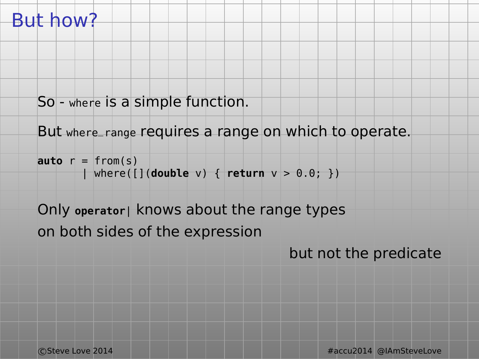## But how?

```
So - where is a simple function.
```

```
But where_range requires a range on which to operate.
```

```
\mathbf{auto} \mathbf{r} = \mathbf{from(s)}| where([](double v) { return v > 0.0; })
```
## Only **operator**| knows about the range types on both sides of the expression

but not the predicate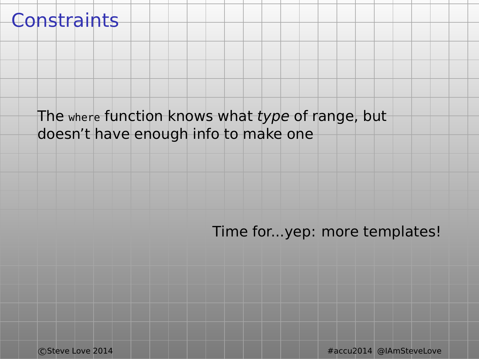## **Constraints**

#### The where function knows what type of range, but doesn't have enough info to make one

#### Time for...yep: more templates!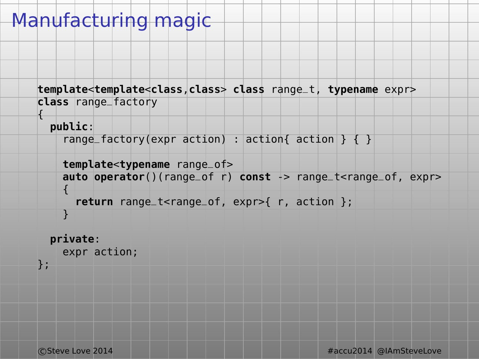## Manufacturing magic

```
template<template<class,class> class range_t, typename expr>
class range_factory
```
#### **public**:

{

```
range_factory(expr action) : action{ action } { }
```

```
template<typename range_of>
auto operator()(range_of r) const -> range_t<range_of, expr>
{
```

```
return range_t<range_of, expr>{ r, action };
```
#### **private**:

```
expr action;
```

```
};
```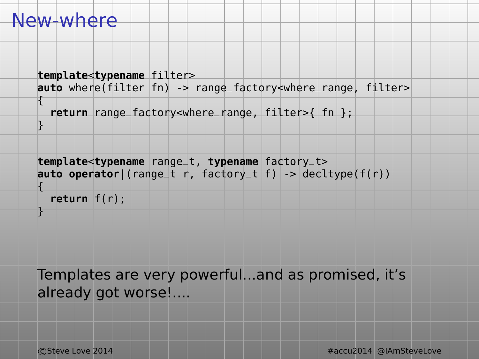#### New-where

```
template<typename filter>
auto where(filter fn) -> range_factory<where_range, filter>
{
  return range_factory<where_range, filter>{ fn };
}
```

```
template<typename range_t, typename factory_t>
auto operator|(range_t r, factory_t f) -> decltype(f(r))
```

```
{
  return f(r);
```
}

Templates are very powerful...and as promised, it's already got worse!....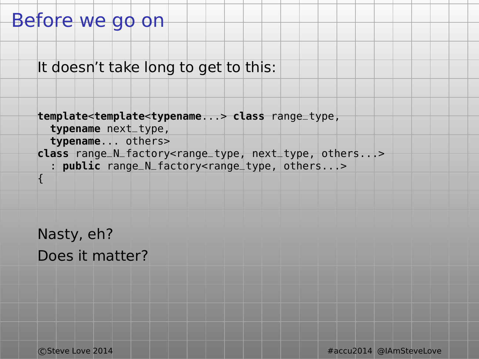### Before we go on

It doesn't take long to get to this:

```
template<template<typename...> class range_type,
 typename next_type,
 typename... others>
class range_N_factory<range_type, next_type, others...>
  : public range_N_factory<range_type, others...>
{
```
Nasty, eh? Does it matter?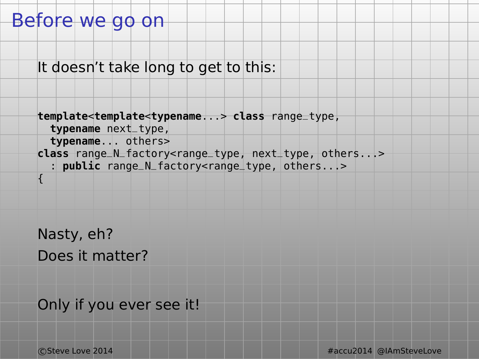## Before we go on

It doesn't take long to get to this:

```
template<template<typename...> class range_type,
 typename next_type,
 typename... others>
class range_N_factory<range_type, next_type, others...>
  : public range_N_factory<range_type, others...>
{
```
Nasty, eh? Does it matter?

Only if you ever see it!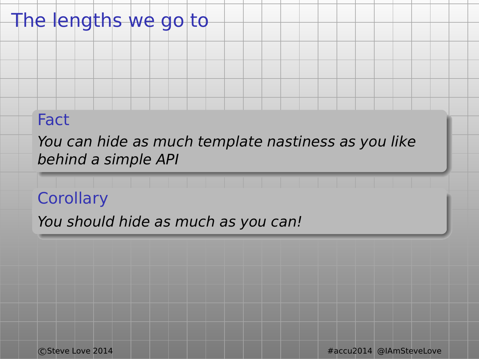## The lengths we go to

#### Fact

You can hide as much template nastiness as you like behind a simple API

### **Corollary**

You should hide as much as you can!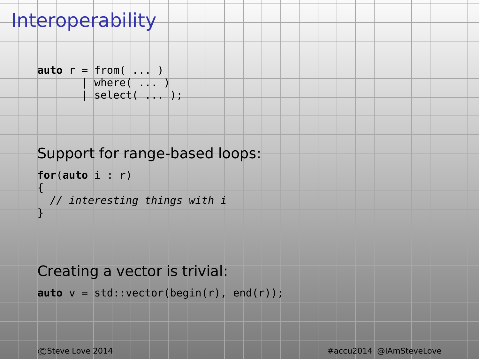## **Interoperability**

```
auto r = from( \ldots )
        | where( ... )
        | select( | \dots |;
```
### Support for range-based loops:

```
for(auto i : r)
{
 // interesting things with i
}
```
#### Creating a vector is trivial:

```
auto v = std::vector(begin(r), end(r));
```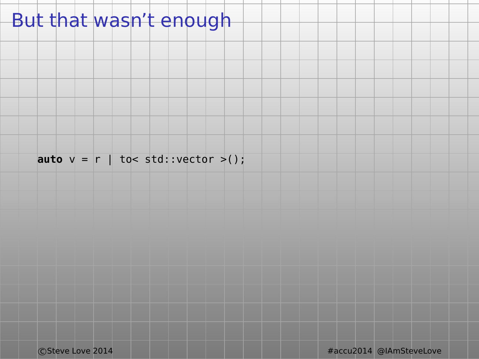## But that wasn't enough

**auto**  $v = r$  | to< std::vector >();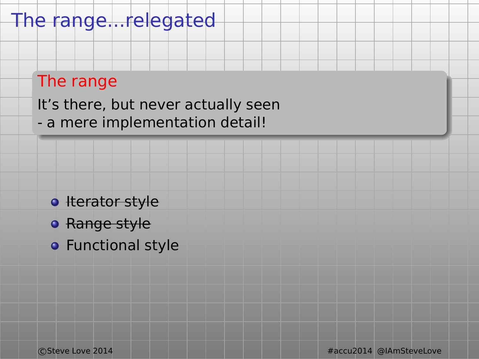## The range...relegated

## The range

It's there, but never actually seen - a mere implementation detail!

- **I**terator style
- **Range style**
- **•** Functional style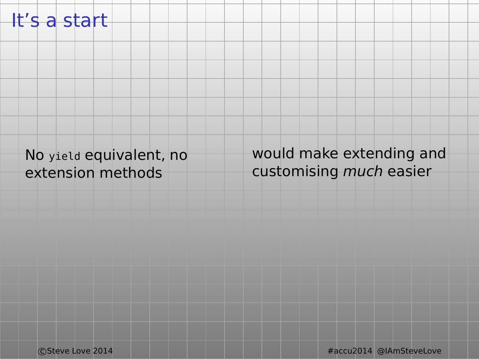### It's a start

No yield equivalent, no extension methods

would make extending and customising much easier

c Steve Love 2014 **Accu2014 Accu2014 #accu2014** @IAmSteveLove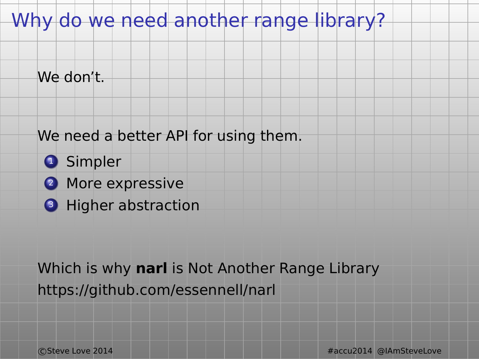## Why do we need another range library?

We don't.

#### We need a better API for using them.

- **O** Simpler
- 2 More expressive
- **3** Higher abstraction

Which is why **narl** is Not Another Range Library https://github.com/essennell/narl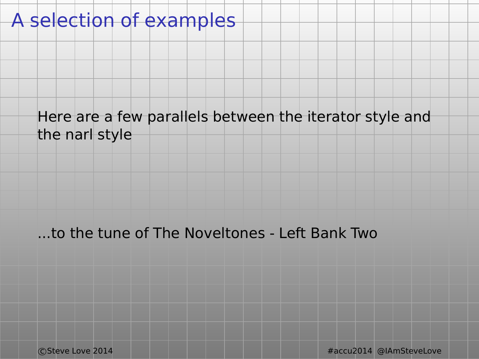## A selection of examples

#### Here are a few parallels between the iterator style and the narl style

#### ...to the tune of The Noveltones - Left Bank Two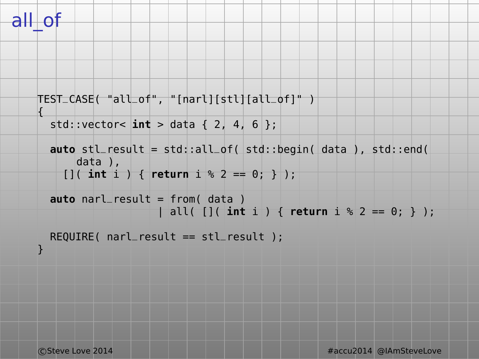## all\_of

{

```
TEST_CASE( "all_of", "[narl][stl][all_of]" )
```

```
std::vector< \text{int} > \text{data} \{2, 4, 6\}:
```

```
auto stl_result = std::all_of( std::begin( data ), std::end(
    data ),
  []( int i ) { return i % 2 == 0; } );
```

```
auto narl_result = from( data )
                 | all( []( int i ) { return i % 2 == 0; } );
```

```
REQUIRE( narl_result == stl_result );
```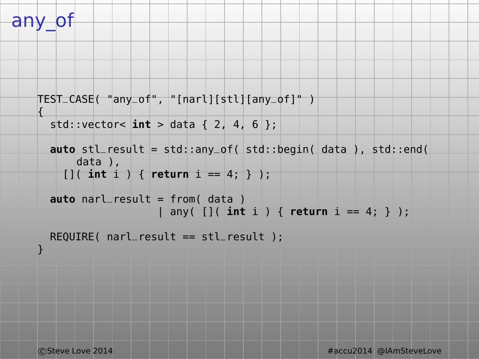## any\_of

{

```
TEST_CASE( "any_of", "[narl][stl][any_of]" )
```

```
std::vector< \text{int} > \text{data} \{2, 4, 6\}:
```

```
auto stl_result = std::any_of( std::begin( data ), std::end(
    data ),
  [ [ ( int i ) \{ return i = 4; \} );
```

```
auto narl_result = from( data )
                 | any( []( int i ) { return i == 4; } );
```

```
REQUIRE( narl_result == stl_result );
```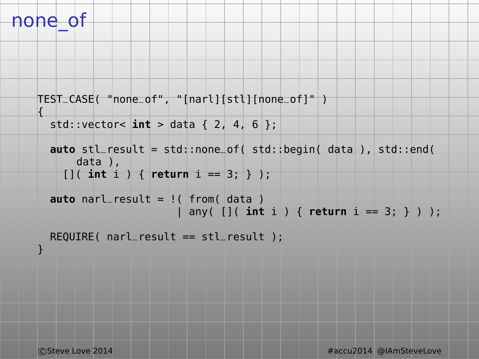## none\_of

{

```
TEST_CASE( "none_of", "[narl][stl][none_of]" )
```

```
std::vector< \text{int} > \text{data} \{2, 4, 6\}:
```

```
auto stl_result = std::none_of( std::begin( data ), std::end(
    data ),
  []( int i ) { return i == 3; } );
```

```
auto narl_result = !( from( data )
                     | any( []( int i ) { return i == 3; } ) );
```

```
REQUIRE( narl_result == stl_result );
```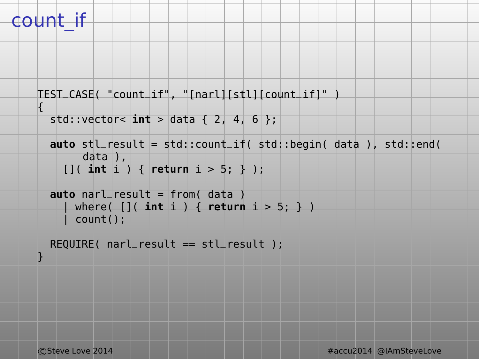## count\_if

{

```
TEST_CASE( "count_if", "[narl][stl][count_if]" )
```

```
std::vector< int > data { 2, 4, 6 };
```

```
auto stl_result = std::count_if( std::begin( data ), std::end(
     data ),
```

```
[]( int i ) { return i > 5; } );
```

```
auto narl_result = from( data )
    | where( []( int i ) { return i > 5; } )
    count():
```

```
REQUIRE( narl_result == stl_result );
}
```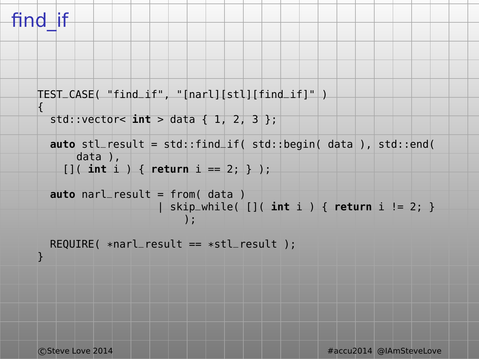## find\_if

}

```
TEST_CASE( "find_if", "[narl][stl][find_if]" )
{
 std::vector< int > data { 1, 2, 3 };
 auto stl_result = std::find_if( std::begin( data ), std::end(
      data ),
```

```
[ ]( int i ) { return i == 2; } );
```

```
auto narl_result = from( data )
                 | skip_while( []( int i ) { return i != 2; }
                      );
```

```
REQUIRE( *narl_result == *stl_result );
```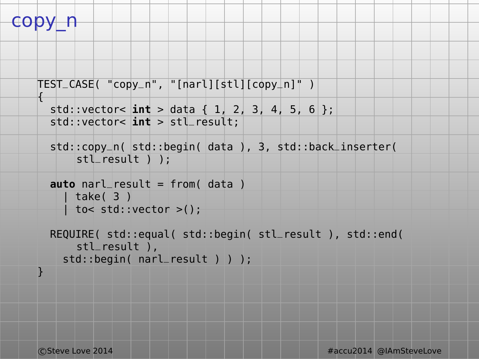```
copy r
```
{

```
TEST_CASE( "copy_n", "[narl][stl][copy_n]" )
```

```
std::vector< \text{int} > \text{data} \{ 1, 2, 3, 4, 5, 6 \};
std::vector< int > stl_result;
```

```
std::copy_n( std::begin( data ), 3, std::back_inserter(
    stl_result ) );
```

```
auto narl_result = from( data )
   | take( 3 )
  | to< std::vector >();
```

```
REQUIRE( std::equal( std::begin( stl_result ), std::end(
    stl_result ),
  std::begin( narl_result ) ) );
```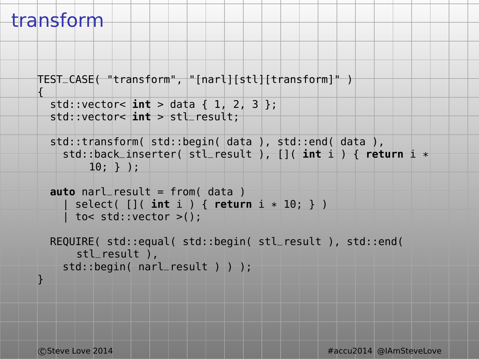## transform

{

```
TEST_CASE( "transform", "[narl][stl][transform]" )
```

```
std::vector< \text{int} > \text{data} \{ 1, 2, 3 \};
std::vector< int > stl_result;
```

```
std::transform( std::begin( data ), std::end( data ),
  std::back_inserter( stl_result ), []( int i ) { return i *
      10; } );
```

```
auto narl_result = from( data )
    | select( []( int i ) { return i * 10; } )
    | to< std::vector >();
```

```
REQUIRE( std::equal( std::begin( stl_result ), std::end(
    stl_result ),
  std::begin( narl_result ) ) );
```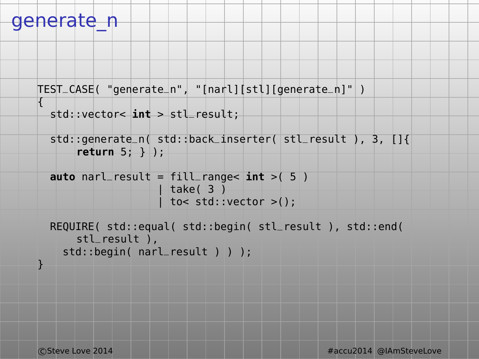### generate\_n

{

}

```
TEST_CASE( "generate_n", "[narl][stl][generate_n]" )
```

```
std::vector< int > stl_result;
```

```
std::generate_n( std::back_inserter( stl_result ), 3, []{
    return 5; } );
```

```
auto narl_result = fill_range< int >( 5 )
                  | take( 3 )
                  | to< std::vector >();
```

```
REQUIRE( std::equal( std::begin( stl_result ), std::end(
    stl_result ),
  std::begin( narl_result ) ) );
```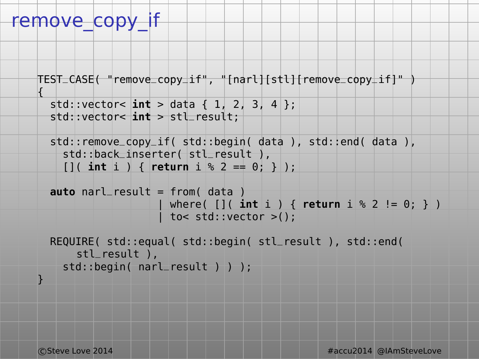## remove\_copy\_if

{

```
TEST_CASE( "remove_copy_if", "[narl][stl][remove_copy_if]" )
```

```
std::vector< int > data { 1, 2, 3, 4 };
std::vector< int > stl_result;
```

```
std::remove_copy_if( std::begin( data ), std::end( data ),
  std::back_inserter( stl_result ),
  []( int i ) { return i % 2 == 0; } );
```

```
auto narl_result = from( data )
                   | where( []( int i ) { return i % 2 != 0; } )
                  | to< std::vector >();
```

```
REQUIRE( std::equal( std::begin( stl_result ), std::end(
    stl_result ),
  std::begin( narl_result ) ) );
```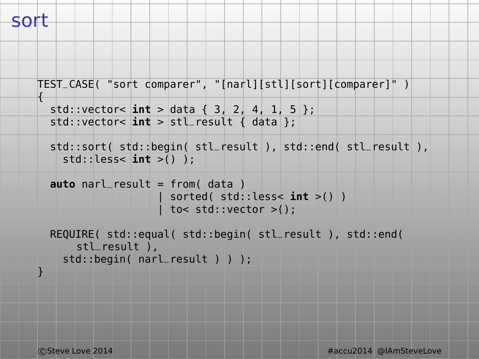{

```
TEST_CASE( "sort comparer", "[narl][stl][sort][comparer]" )
```

```
std::vector< \text{int} > \text{data} \{ 3, 2, 4, 1, 5 \};
std:vector<sub>1</sub>int > stL result { data }:
```

```
std::sort( std::begin( stl_result ), std::end( stl_result ),
  std::less< int >() );
```

```
auto narl_result = from( data )
                   | sorted( std::less< int >() )
                  | to< std::vector >();
```

```
REQUIRE( std::equal( std::begin( stl_result ), std::end(
    stl_result ),
  std::begin( narl_result ) ) );
```
}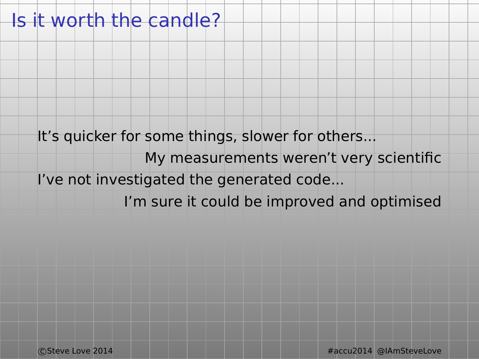### Is it worth the candle?

It's quicker for some things, slower for others...

My measurements weren't very scientific I've not investigated the generated code...

I'm sure it could be improved and optimised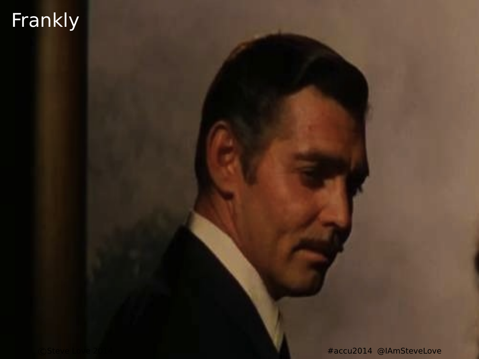# Frankly

#accu2014 @IAmSteveLove